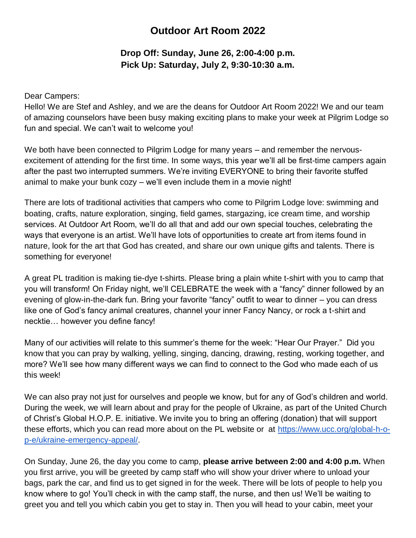## **Outdoor Art Room 2022**

## **Drop Off: Sunday, June 26, 2:00-4:00 p.m. Pick Up: Saturday, July 2, 9:30-10:30 a.m.**

Dear Campers:

Hello! We are Stef and Ashley, and we are the deans for Outdoor Art Room 2022! We and our team of amazing counselors have been busy making exciting plans to make your week at Pilgrim Lodge so fun and special. We can't wait to welcome you!

We both have been connected to Pilgrim Lodge for many years – and remember the nervousexcitement of attending for the first time. In some ways, this year we'll all be first-time campers again after the past two interrupted summers. We're inviting EVERYONE to bring their favorite stuffed animal to make your bunk cozy – we'll even include them in a movie night!

There are lots of traditional activities that campers who come to Pilgrim Lodge love: swimming and boating, crafts, nature exploration, singing, field games, stargazing, ice cream time, and worship services. At Outdoor Art Room, we'll do all that and add our own special touches, celebrating the ways that everyone is an artist. We'll have lots of opportunities to create art from items found in nature, look for the art that God has created, and share our own unique gifts and talents. There is something for everyone!

A great PL tradition is making tie-dye t-shirts. Please bring a plain white t-shirt with you to camp that you will transform! On Friday night, we'll CELEBRATE the week with a "fancy" dinner followed by an evening of glow-in-the-dark fun. Bring your favorite "fancy" outfit to wear to dinner – you can dress like one of God's fancy animal creatures, channel your inner Fancy Nancy, or rock a t-shirt and necktie… however you define fancy!

Many of our activities will relate to this summer's theme for the week: "Hear Our Prayer." Did you know that you can pray by walking, yelling, singing, dancing, drawing, resting, working together, and more? We'll see how many different ways we can find to connect to the God who made each of us this week!

We can also pray not just for ourselves and people we know, but for any of God's children and world. During the week, we will learn about and pray for the people of Ukraine, as part of the United Church of Christ's Global H.O.P. E. initiative. We invite you to bring an offering (donation) that will support these efforts, which you can read more about on the PL website or at [https://www.ucc.org/global-h-o](https://www.ucc.org/global-h-o-p-e/ukraine-emergency-appeal/)[p-e/ukraine-emergency-appeal/.](https://www.ucc.org/global-h-o-p-e/ukraine-emergency-appeal/)

On Sunday, June 26, the day you come to camp, **please arrive between 2:00 and 4:00 p.m.** When you first arrive, you will be greeted by camp staff who will show your driver where to unload your bags, park the car, and find us to get signed in for the week. There will be lots of people to help you know where to go! You'll check in with the camp staff, the nurse, and then us! We'll be waiting to greet you and tell you which cabin you get to stay in. Then you will head to your cabin, meet your